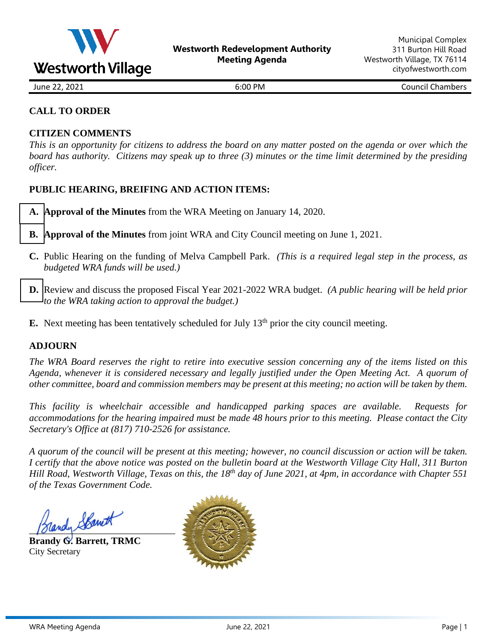<span id="page-0-0"></span>

June 22, 2021 **6:00 PM** Council Chambers

## **CALL TO ORDER**

#### **CITIZEN COMMENTS**

*This is an opportunity for citizens to address the board on any matter posted on the agenda or over which the board has authority. Citizens may speak up to three (3) minutes or the time limit determined by the presiding officer.* 

#### **PUBLIC HEARING, BREIFING AND ACTION ITEMS:**

- **[A.](#page-1-0) Approval of the Minutes** from the WRA Meeting on January 14, 2020.
- **[B.](#page-2-0) Approval of the Minutes** from joint WRA and City Council meeting on June 1, 2021.
- **C.** Public Hearing on the funding of Melva Campbell Park. *(This is a required legal step in the process, as budgeted WRA funds will be used.)*
- **[D.](#page-6-0)** Review and discuss the proposed Fiscal Year 2021-2022 WRA budget. *(A public hearing will be held prior to the WRA taking action to approval the budget.)*
- **E.** Next meeting has been tentatively scheduled for July  $13<sup>th</sup>$  prior the city council meeting.

#### **ADJOURN**

*The WRA Board reserves the right to retire into executive session concerning any of the items listed on this Agenda, whenever it is considered necessary and legally justified under the Open Meeting Act. A quorum of other committee, board and commission members may be present at this meeting; no action will be taken by them.*

*This facility is wheelchair accessible and handicapped parking spaces are available. Requests for accommodations for the hearing impaired must be made 48 hours prior to this meeting. Please contact the City Secretary's Office at (817) 710-2526 for assistance.*

*A quorum of the council will be present at this meeting; however, no council discussion or action will be taken. I certify that the above notice was posted on the bulletin board at the Westworth Village City Hall, 311 Burton Hill Road, Westworth Village, Texas on this, the 18 th day of June 2021, at 4pm, in accordance with Chapter 551 of the Texas Government Code.* 

randy Skanet

**Brandy G. Barrett, TRMC** City Secretary

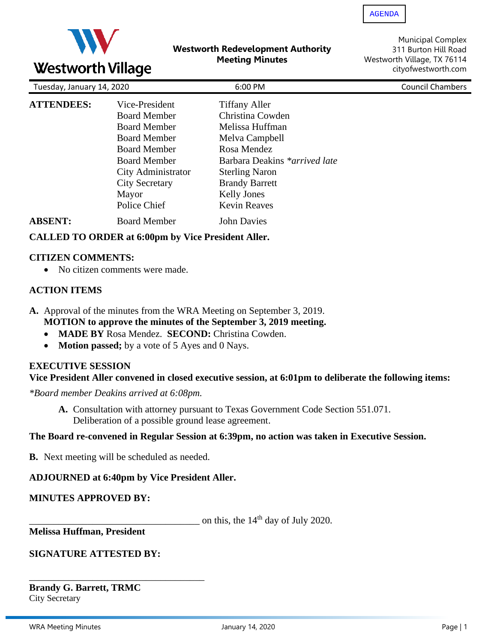<span id="page-1-0"></span>

#### **Westworth Redevelopment Authority Meeting Minutes**

Municipal Complex 311 Burton Hill Road Westworth Village, TX 76114 cityofwestworth.com

| Tuesday, January 14, 2020 |                       | 6:00 PM                       | <b>Council Chambers</b> |  |  |
|---------------------------|-----------------------|-------------------------------|-------------------------|--|--|
| <b>ATTENDEES:</b>         | Vice-President        | <b>Tiffany Aller</b>          |                         |  |  |
|                           | <b>Board Member</b>   | Christina Cowden              |                         |  |  |
|                           | <b>Board Member</b>   | Melissa Huffman               |                         |  |  |
|                           | <b>Board Member</b>   | Melva Campbell                |                         |  |  |
|                           | <b>Board Member</b>   | Rosa Mendez                   |                         |  |  |
|                           | <b>Board Member</b>   | Barbara Deakins *arrived late |                         |  |  |
|                           | City Administrator    | <b>Sterling Naron</b>         |                         |  |  |
|                           | <b>City Secretary</b> | <b>Brandy Barrett</b>         |                         |  |  |
|                           | Mayor                 | <b>Kelly Jones</b>            |                         |  |  |
|                           | Police Chief          | <b>Kevin Reaves</b>           |                         |  |  |
| <b>ABSENT:</b>            | <b>Board Member</b>   | <b>John Davies</b>            |                         |  |  |

## **CALLED TO ORDER at 6:00pm by Vice President Aller.**

#### **CITIZEN COMMENTS:**

• No citizen comments were made.

## **ACTION ITEMS**

- **A.** Approval of the minutes from the WRA Meeting on September 3, 2019. **MOTION to approve the minutes of the September 3, 2019 meeting.**
	- **MADE BY** Rosa Mendez. **SECOND:** Christina Cowden.
	- **Motion passed;** by a vote of 5 Ayes and 0 Nays.

#### **EXECUTIVE SESSION**

#### **Vice President Aller convened in closed executive session, at 6:01pm to deliberate the following items:**

*\*Board member Deakins arrived at 6:08pm.*

**A.** Consultation with attorney pursuant to Texas Government Code Section 551.071. Deliberation of a possible ground lease agreement.

#### **The Board re-convened in Regular Session at 6:39pm, no action was taken in Executive Session.**

**B.** Next meeting will be scheduled as needed.

## **ADJOURNED at 6:40pm by Vice President Aller.**

## **MINUTES APPROVED BY:**

on this, the  $14<sup>th</sup>$  day of July 2020.

**Melissa Huffman, President**

## **SIGNATURE ATTESTED BY:**

\_\_\_\_\_\_\_\_\_\_\_\_\_\_\_\_\_\_\_\_\_\_\_\_\_\_\_\_\_\_\_\_\_\_\_\_ **Brandy G. Barrett, TRMC** City Secretary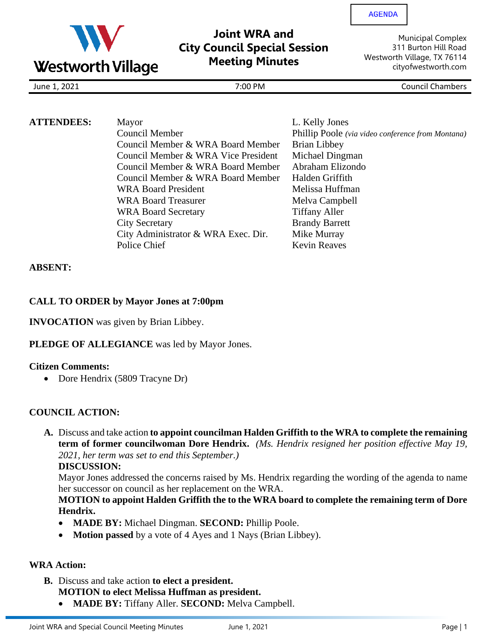<span id="page-2-0"></span>

# **Joint WRA and City Council Special Session Meeting Minutes**

[AGENDA](#page-0-0)

Municipal Complex 311 Burton Hill Road Westworth Village, TX 76114 cityofwestworth.com

June 1, 2021 7:00 PM Council Chambers

| <b>ATTENDEES:</b> | Mayor                               | L. Kelly Jones                                    |
|-------------------|-------------------------------------|---------------------------------------------------|
|                   | Council Member                      | Phillip Poole (via video conference from Montana) |
|                   | Council Member & WRA Board Member   | Brian Libbey                                      |
|                   | Council Member & WRA Vice President | Michael Dingman                                   |
|                   | Council Member & WRA Board Member   | Abraham Elizondo                                  |
|                   | Council Member & WRA Board Member   | Halden Griffith                                   |
|                   | <b>WRA Board President</b>          | Melissa Huffman                                   |
|                   | <b>WRA Board Treasurer</b>          | Melva Campbell                                    |
|                   | <b>WRA Board Secretary</b>          | <b>Tiffany Aller</b>                              |
|                   | <b>City Secretary</b>               | <b>Brandy Barrett</b>                             |
|                   | City Administrator & WRA Exec. Dir. | Mike Murray                                       |
|                   | Police Chief                        | <b>Kevin Reaves</b>                               |

## **ABSENT:**

## **CALL TO ORDER by Mayor Jones at 7:00pm**

**INVOCATION** was given by Brian Libbey.

## **PLEDGE OF ALLEGIANCE** was led by Mayor Jones.

#### **Citizen Comments:**

• Dore Hendrix (5809 Tracyne Dr)

## **COUNCIL ACTION:**

**A.** Discuss and take action **to appoint councilman Halden Griffith to the WRA to complete the remaining term of former councilwoman Dore Hendrix.** *(Ms. Hendrix resigned her position effective May 19, 2021, her term was set to end this September.)*

**DISCUSSION:**

Mayor Jones addressed the concerns raised by Ms. Hendrix regarding the wording of the agenda to name her successor on council as her replacement on the WRA.

#### **MOTION to appoint Halden Griffith the to the WRA board to complete the remaining term of Dore Hendrix.**

- **MADE BY:** Michael Dingman. **SECOND:** Phillip Poole.
- **Motion passed** by a vote of 4 Ayes and 1 Nays (Brian Libbey).

# **WRA Action:**

- **B.** Discuss and take action **to elect a president. MOTION to elect Melissa Huffman as president.**
	- **MADE BY:** Tiffany Aller. **SECOND:** Melva Campbell.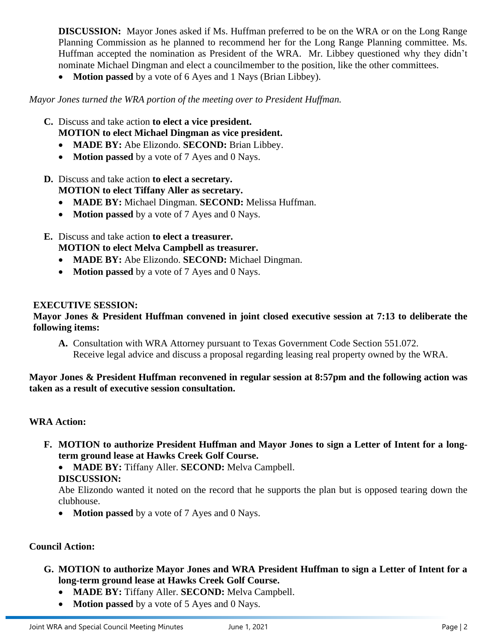**DISCUSSION:** Mayor Jones asked if Ms. Huffman preferred to be on the WRA or on the Long Range Planning Commission as he planned to recommend her for the Long Range Planning committee. Ms. Huffman accepted the nomination as President of the WRA. Mr. Libbey questioned why they didn't nominate Michael Dingman and elect a councilmember to the position, like the other committees.

• **Motion passed** by a vote of 6 Ayes and 1 Nays (Brian Libbey).

*Mayor Jones turned the WRA portion of the meeting over to President Huffman.*

- **C.** Discuss and take action **to elect a vice president.**
	- **MOTION to elect Michael Dingman as vice president.**
	- **MADE BY:** Abe Elizondo. **SECOND:** Brian Libbey.
	- **Motion passed** by a vote of 7 Ayes and 0 Nays.
- **D.** Discuss and take action **to elect a secretary. MOTION to elect Tiffany Aller as secretary.**
	- **MADE BY:** Michael Dingman. **SECOND:** Melissa Huffman.
	- **Motion passed** by a vote of 7 Ayes and 0 Nays.
- **E.** Discuss and take action **to elect a treasurer. MOTION to elect Melva Campbell as treasurer.**
	- **MADE BY:** Abe Elizondo. **SECOND:** Michael Dingman.
	- **Motion passed** by a vote of 7 Ayes and 0 Nays.

#### **EXECUTIVE SESSION:**

#### **Mayor Jones & President Huffman convened in joint closed executive session at 7:13 to deliberate the following items:**

**A.** Consultation with WRA Attorney pursuant to Texas Government Code Section 551.072. Receive legal advice and discuss a proposal regarding leasing real property owned by the WRA.

#### **Mayor Jones & President Huffman reconvened in regular session at 8:57pm and the following action was taken as a result of executive session consultation.**

#### **WRA Action:**

**F. MOTION to authorize President Huffman and Mayor Jones to sign a Letter of Intent for a longterm ground lease at Hawks Creek Golf Course.**

• **MADE BY:** Tiffany Aller. **SECOND:** Melva Campbell. **DISCUSSION:**

Abe Elizondo wanted it noted on the record that he supports the plan but is opposed tearing down the clubhouse.

• **Motion passed** by a vote of 7 Ayes and 0 Nays.

#### **Council Action:**

- **G. MOTION to authorize Mayor Jones and WRA President Huffman to sign a Letter of Intent for a long-term ground lease at Hawks Creek Golf Course.**
	- **MADE BY:** Tiffany Aller. **SECOND:** Melva Campbell.
	- **Motion passed** by a vote of 5 Ayes and 0 Nays.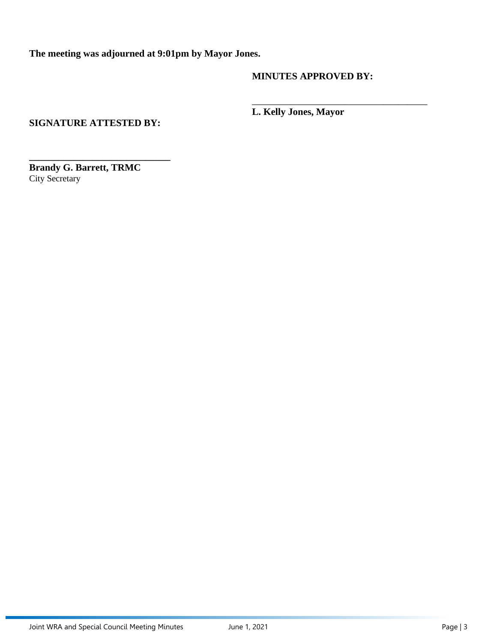**The meeting was adjourned at 9:01pm by Mayor Jones.**

#### **MINUTES APPROVED BY:**

\_\_\_\_\_\_\_\_\_\_\_\_\_\_\_\_\_\_\_\_\_\_\_\_\_\_\_\_\_\_\_\_\_\_\_\_

**L. Kelly Jones, Mayor**

**SIGNATURE ATTESTED BY:**

**\_\_\_\_\_\_\_\_\_\_\_\_\_\_\_\_\_\_\_\_\_\_\_\_\_\_\_\_\_**

**Brandy G. Barrett, TRMC** City Secretary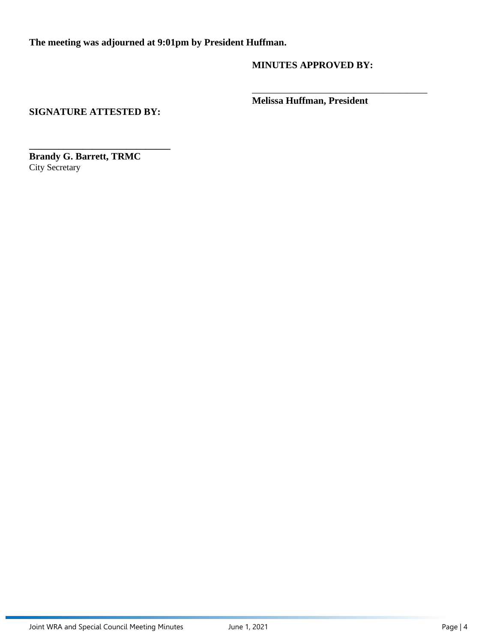**The meeting was adjourned at 9:01pm by President Huffman.**

**MINUTES APPROVED BY:**

**Melissa Huffman, President**

\_\_\_\_\_\_\_\_\_\_\_\_\_\_\_\_\_\_\_\_\_\_\_\_\_\_\_\_\_\_\_\_\_\_\_\_

## **SIGNATURE ATTESTED BY:**

**\_\_\_\_\_\_\_\_\_\_\_\_\_\_\_\_\_\_\_\_\_\_\_\_\_\_\_\_\_ Brandy G. Barrett, TRMC** City Secretary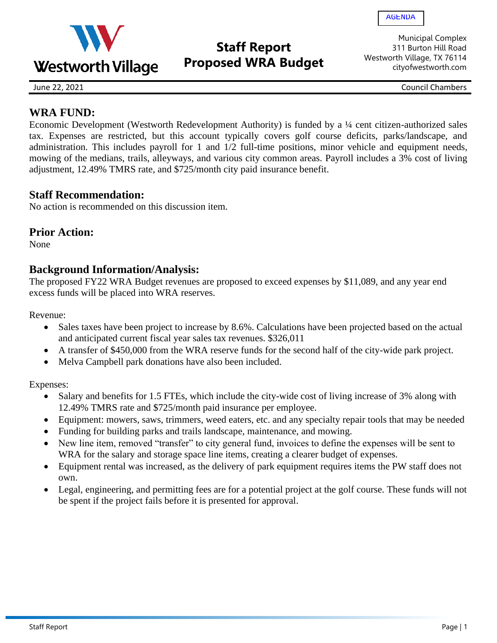<span id="page-6-0"></span>

# **Staff Report Proposed WRA Budget**

Municipal Complex 311 Burton Hill Road Westworth Village, TX 76114 cityofwestworth.com

June 22, 2021 Council Chambers

# **WRA FUND:**

Economic Development (Westworth Redevelopment Authority) is funded by a ¼ cent citizen-authorized sales tax. Expenses are restricted, but this account typically covers golf course deficits, parks/landscape, and administration. This includes payroll for 1 and 1/2 full-time positions, minor vehicle and equipment needs, mowing of the medians, trails, alleyways, and various city common areas. Payroll includes a 3% cost of living adjustment, 12.49% TMRS rate, and \$725/month city paid insurance benefit.

## **Staff Recommendation:**

No action is recommended on this discussion item.

## **Prior Action:**

None

# **Background Information/Analysis:**

The proposed FY22 WRA Budget revenues are proposed to exceed expenses by \$11,089, and any year end excess funds will be placed into WRA reserves.

Revenue:

- Sales taxes have been project to increase by 8.6%. Calculations have been projected based on the actual and anticipated current fiscal year sales tax revenues. \$326,011
- A transfer of \$450,000 from the WRA reserve funds for the second half of the city-wide park project.
- Melva Campbell park donations have also been included.

Expenses:

- Salary and benefits for 1.5 FTEs, which include the city-wide cost of living increase of 3% along with 12.49% TMRS rate and \$725/month paid insurance per employee.
- Equipment: mowers, saws, trimmers, weed eaters, etc. and any specialty repair tools that may be needed
- Funding for building parks and trails landscape, maintenance, and mowing.
- New line item, removed "transfer" to city general fund, invoices to define the expenses will be sent to WRA for the salary and storage space line items, creating a clearer budget of expenses.
- Equipment rental was increased, as the delivery of park equipment requires items the PW staff does not own.
- Legal, engineering, and permitting fees are for a potential project at the golf course. These funds will not be spent if the project fails before it is presented for approval.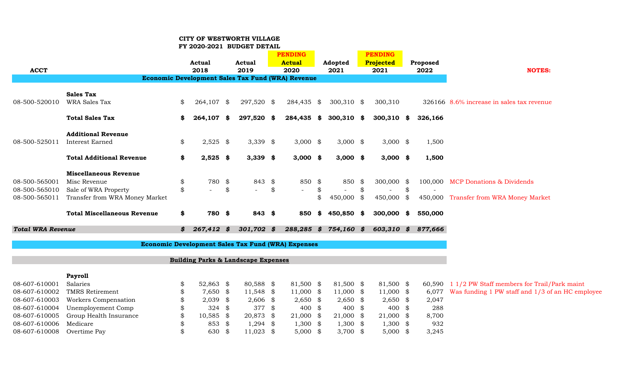#### **CITY OF WESTWORTH VILLAGE**

|  |  | FY 2020-2021 BUDGET DETAIL |  |
|--|--|----------------------------|--|
|--|--|----------------------------|--|

| <b>ACCT</b>              |                                    | <b>Actual</b><br>2018 | Actual<br>2019                                            | <b>PENDING</b><br><b>Actual</b><br>2020 |      | Adopted<br>2021       |      | <b>PENDING</b><br>Projected<br>2021 | Proposed<br>2022 | <b>NOTES:</b>                                      |
|--------------------------|------------------------------------|-----------------------|-----------------------------------------------------------|-----------------------------------------|------|-----------------------|------|-------------------------------------|------------------|----------------------------------------------------|
|                          |                                    |                       | Economic Development Sales Tax Fund (WRA) Revenue         |                                         |      |                       |      |                                     |                  |                                                    |
|                          | <b>Sales Tax</b>                   |                       |                                                           |                                         |      |                       |      |                                     |                  |                                                    |
| 08-500-520010            | WRA Sales Tax                      | \$<br>264,107 \$      | 297,520 \$                                                | 284,435 \$                              |      | $300,310$ \$          |      | 300,310                             |                  | 326166 8.6% increase in sales tax revenue          |
|                          | <b>Total Sales Tax</b>             | \$<br>264,107 \$      | 297,520 \$                                                | 284,435                                 | \$   | $300,310$ \$          |      | $300,310$ \$                        | 326,166          |                                                    |
|                          | <b>Additional Revenue</b>          |                       |                                                           |                                         |      |                       |      |                                     |                  |                                                    |
| 08-500-525011            | <b>Interest Earned</b>             | \$<br>$2,525$ \$      | 3,339 $$$                                                 | $3,000$ \$                              |      | $3,000$ \$            |      | $3,000$ \$                          | 1,500            |                                                    |
|                          | <b>Total Additional Revenue</b>    | \$<br>$2,525$ \$      | $3,339$ \$                                                | $3,000$ \$                              |      | $3,000$ \$            |      | $3,000$ \$                          | 1,500            |                                                    |
|                          | <b>Miscellaneous Revenue</b>       |                       |                                                           |                                         |      |                       |      |                                     |                  |                                                    |
| 08-500-565001            | Misc Revenue                       | \$<br>780 \$          | 843 \$                                                    | 850 \$                                  |      | 850                   | - \$ | 300,000 \$                          |                  | 100,000 MCP Donations & Dividends                  |
| 08-500-565010            | Sale of WRA Property               | \$                    | \$<br>$\equiv$                                            | \$                                      | \$   |                       | \$   |                                     | \$               |                                                    |
| 08-500-565011            | Transfer from WRA Money Market     |                       |                                                           |                                         | \$   | 450,000 \$            |      | 450,000 \$                          |                  | 450,000 Transfer from WRA Money Market             |
|                          | <b>Total Miscellaneous Revenue</b> | \$<br>780 \$          | 843 \$                                                    | 850                                     | SS.  | 450,850 \$            |      | 300,000 \$                          | 550,000          |                                                    |
| <b>Total WRA Revenue</b> |                                    | \$<br>267,412 \$      | $301,702$ \$                                              |                                         |      | 288,285 \$ 754,160 \$ |      | $603,310$ \$                        | 877,666          |                                                    |
|                          |                                    |                       | <b>Economic Development Sales Tax Fund (WRA) Expenses</b> |                                         |      |                       |      |                                     |                  |                                                    |
|                          |                                    |                       | <b>Building Parks &amp; Landscape Expenses</b>            |                                         |      |                       |      |                                     |                  |                                                    |
|                          | <b>Payroll</b>                     |                       |                                                           |                                         |      |                       |      |                                     |                  |                                                    |
| 08-607-610001            | Salaries                           | \$<br>52,863 \$       | 80,588 \$                                                 | 81,500 \$                               |      | 81,500 \$             |      | 81,500 \$                           |                  | 60,590 1 1/2 PW Staff members for Trail/Park maint |
| 08-607-610002            | <b>TMRS Retirement</b>             | \$<br>7,650 \$        | $11,548$ \$                                               | 11,000 \$                               |      | $11,000$ \$           |      | $11,000$ \$                         | 6,077            | Was funding 1 PW staff and 1/3 of an HC employee   |
| 08-607-610003            | Workers Compensation               | \$<br>$2,039$ \$      | $2,606$ \$                                                | $2,650$ \$                              |      | $2,650$ \$            |      | $2,650$ \$                          | 2,047            |                                                    |
| 08-607-610004            | Unemployement Comp                 | \$<br>324             | \$<br>377 \$                                              | 400 $$$                                 |      | 400 $$$               |      | 400 $$$                             | 288              |                                                    |
| 08-607-610005            | Group Health Insurance             | \$<br>10,585          | \$<br>20,873 \$                                           | 21,000                                  | - \$ | 21,000 \$             |      | $21,000$ \$                         | 8,700            |                                                    |
| 08-607-610006            | Medicare                           | \$<br>853             | \$<br>$1,294$ \$                                          | $1,300$ \$                              |      | $1,300$ \$            |      | $1,300$ \$                          | 932              |                                                    |
| 08-607-610008            | Overtime Pay                       | \$<br>630             | \$<br>$11,023$ \$                                         | $5,000$ \$                              |      | 3,700 $$$             |      | $5,000$ \$                          | 3,245            |                                                    |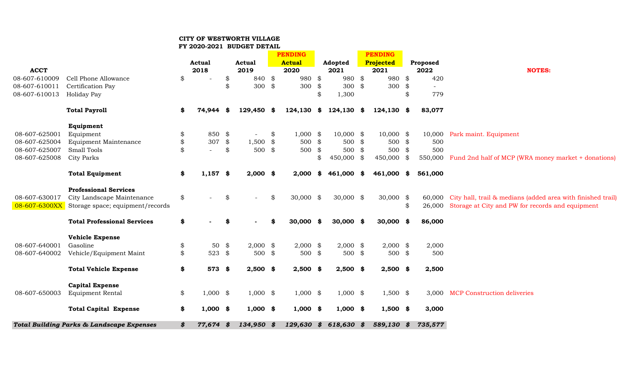## **CITY OF WESTWORTH VILLAGE**

#### **FY 2020-2021 BUDGET DETAIL**

|               |                                                      |                  |      |            |    | <b>PENDING</b> |               |      | <b>PENDING</b> |               |                                                                    |
|---------------|------------------------------------------------------|------------------|------|------------|----|----------------|---------------|------|----------------|---------------|--------------------------------------------------------------------|
|               |                                                      | <b>Actual</b>    |      | Actual     |    | <b>Actual</b>  | Adopted       |      | Projected      | Proposed      |                                                                    |
| <b>ACCT</b>   |                                                      | 2018             |      | 2019       |    | 2020           | 2021          |      | 2021           | 2022          | <b>NOTES:</b>                                                      |
| 08-607-610009 | Cell Phone Allowance                                 | \$               | \$   | 840 \$     |    | 980 \$         | 980           | \$   | 980 \$         | 420           |                                                                    |
| 08-607-610011 | Certification Pay                                    |                  | \$   | 300        | \$ | 300 $$$        | 300           | \$   | 300 $$$        |               |                                                                    |
| 08-607-610013 | Holiday Pay                                          |                  |      |            |    |                | \$<br>1,300   |      |                | \$<br>779     |                                                                    |
|               | <b>Total Payroll</b>                                 | \$<br>74,944     | - \$ | 129,450 \$ |    | 124,130        | \$<br>124,130 | - \$ | 124,130 \$     | 83,077        |                                                                    |
|               | Equipment                                            |                  |      |            |    |                |               |      |                |               |                                                                    |
| 08-607-625001 | Equipment                                            | \$<br>850 \$     |      |            | \$ | $1,000$ \$     | $10,000$ \$   |      | $10,000$ \$    |               | 10,000 Park maint. Equipment                                       |
| 08-607-625004 | <b>Equipment Maintenance</b>                         | \$<br>307        | \$   | $1,500$ \$ |    | 500 \$         | 500           | \$   | 500 \$         | 500           |                                                                    |
| 08-607-625007 | Small Tools                                          | $\sim$           | \$   | 500 \$     |    | $500*$         | 500           | \$   | $500*$         | 500           |                                                                    |
| 08-607-625008 | <b>City Parks</b>                                    |                  |      |            |    |                | 450,000       | \$   | 450,000 \$     |               | 550,000 Fund 2nd half of MCP (WRA money market + donations)        |
|               | <b>Total Equipment</b>                               | \$<br>$1,157$ \$ |      | $2,000$ \$ |    | 2,000          | \$<br>461,000 | - \$ | 461,000 \$     | 561,000       |                                                                    |
|               | <b>Professional Services</b>                         |                  |      |            |    |                |               |      |                |               |                                                                    |
| 08-607-630017 | City Landscape Maintenance                           | \$               | \$   |            | \$ | $30,000$ \$    | $30,000$ \$   |      | 30,000 \$      |               | 60,000 City hall, trail & medians (added area with finished trail) |
| 08-607-6300XX | Storage space; equipment/records                     |                  |      |            |    |                |               |      |                | \$<br>26,000  | Storage at City and PW for records and equipment                   |
|               | <b>Total Professional Services</b>                   | \$               | \$   |            | S  | $30,000$ \$    | $30,000$ \$   |      | $30,000$ \$    | 86,000        |                                                                    |
|               | <b>Vehicle Expense</b>                               |                  |      |            |    |                |               |      |                |               |                                                                    |
| 08-607-640001 | Gasoline                                             | \$<br>50         | \$   | $2,000$ \$ |    | $2,000$ \$     | $2,000$ \$    |      | $2,000$ \$     | 2,000         |                                                                    |
| 08-607-640002 | Vehicle/Equipment Maint                              | \$<br>523 $$$    |      | 500        | \$ | $500*$         | 500           | \$   | $500*$         | 500           |                                                                    |
|               | <b>Total Vehicle Expense</b>                         | \$<br>573 \$     |      | $2,500$ \$ |    | $2,500$ \$     | $2,500$ \$    |      | $2,500$ \$     | 2,500         |                                                                    |
|               | <b>Capital Expense</b>                               |                  |      |            |    |                |               |      |                |               |                                                                    |
| 08-607-650003 | <b>Equipment Rental</b>                              | \$<br>$1,000$ \$ |      | $1,000$ \$ |    | $1,000$ \$     | $1,000$ \$    |      | $1,500$ \$     |               | 3,000 MCP Construction deliveries                                  |
|               | <b>Total Capital Expense</b>                         | \$<br>$1,000$ \$ |      | $1,000$ \$ |    | $1,000$ \$     | $1,000$ \$    |      | $1,500$ \$     | 3,000         |                                                                    |
|               | <b>Total Building Parks &amp; Landscape Expenses</b> | \$<br>77,674     | -\$  | 134,950    | \$ | 129,630        | \$<br>618,630 | -\$  | 589,130        | \$<br>735,577 |                                                                    |